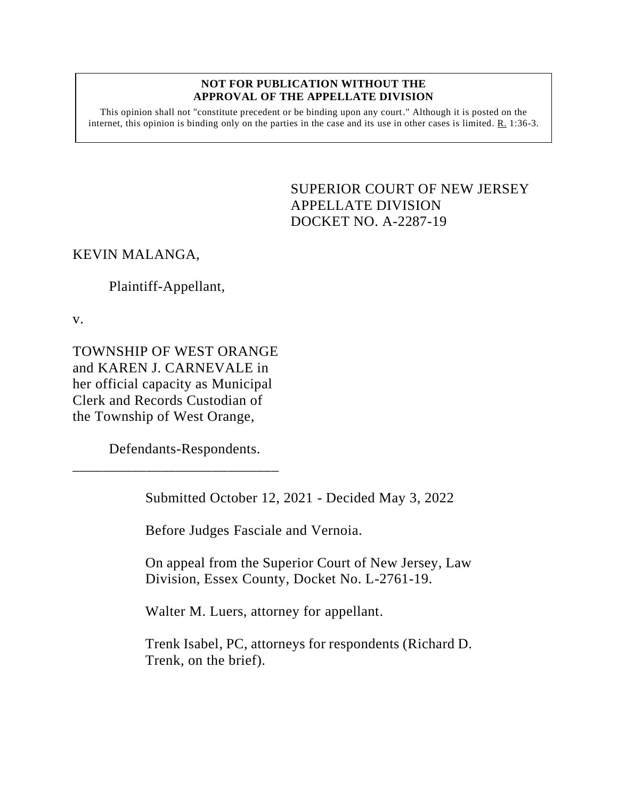### **NOT FOR PUBLICATION WITHOUT THE APPROVAL OF THE APPELLATE DIVISION**

This opinion shall not "constitute precedent or be binding upon any court." Although it is posted on the internet, this opinion is binding only on the parties in the case and its use in other cases is limited.  $R_1$  1:36-3.

> <span id="page-0-0"></span>SUPERIOR COURT OF NEW JERSEY APPELLATE DIVISION DOCKET NO. A-2287-19

## KEVIN MALANGA,

# Plaintiff-Appellant,

v.

TOWNSHIP OF WEST ORANGE and KAREN J. CARNEVALE in her official capacity as Municipal Clerk and Records Custodian of the Township of West Orange,

Defendants-Respondents.

\_\_\_\_\_\_\_\_\_\_\_\_\_\_\_\_\_\_\_\_\_\_\_\_\_\_\_\_

Submitted October 12, 2021 - Decided May 3, 2022

Before Judges Fasciale and Vernoia.

On appeal from the Superior Court of New Jersey, Law Division, Essex County, Docket No. L-2761-19.

Walter M. Luers, attorney for appellant.

Trenk Isabel, PC, attorneys for respondents (Richard D. Trenk, on the brief).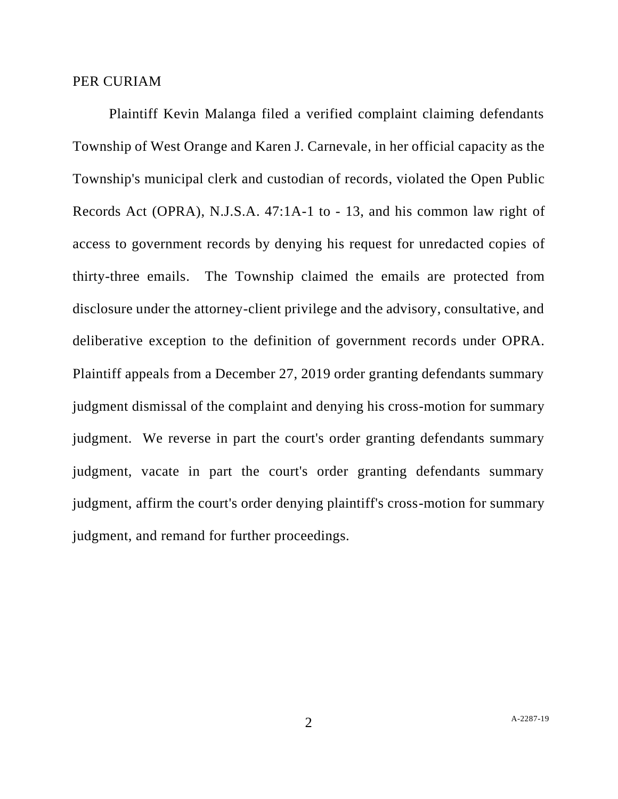### PER CURIAM

Plaintiff Kevin Malanga filed a verified complaint claiming defendants Township of West Orange and Karen J. Carnevale, in her official capacity as the Township's municipal clerk and custodian of records, violated the Open Public Records Act (OPRA), N.J.S.A. 47:1A-1 to - 13, and his common law right of access to government records by denying his request for unredacted copies of thirty-three emails. The Township claimed the emails are protected from disclosure under the attorney-client privilege and the advisory, consultative, and deliberative exception to the definition of government records under OPRA. Plaintiff appeals from a December 27, 2019 order granting defendants summary judgment dismissal of the complaint and denying his cross-motion for summary judgment. We reverse in part the court's order granting defendants summary judgment, vacate in part the court's order granting defendants summary judgment, affirm the court's order denying plaintiff's cross-motion for summary judgment, and remand for further proceedings.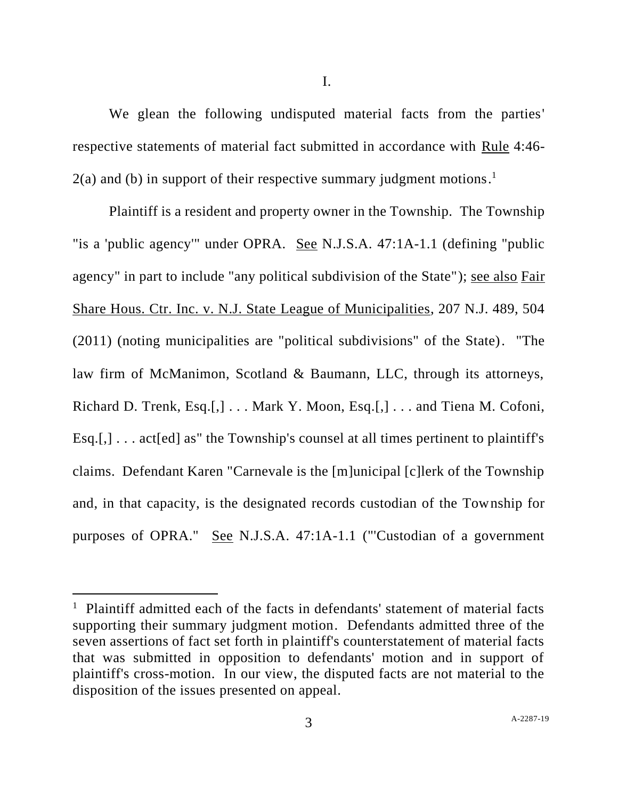We glean the following undisputed material facts from the parties' respective statements of material fact submitted in accordance with Rule 4:46-  $2(a)$  and (b) in support of their respective summary judgment motions.<sup>1</sup>

Plaintiff is a resident and property owner in the Township. The Township "is a 'public agency'" under OPRA. See N.J.S.A. 47:1A-1.1 (defining "public agency" in part to include "any political subdivision of the State"); see also Fair Share Hous. Ctr. Inc. v. N.J. State League of Municipalities, 207 N.J. 489, 504 (2011) (noting municipalities are "political subdivisions" of the State). "The law firm of McManimon, Scotland & Baumann, LLC, through its attorneys, Richard D. Trenk, Esq.[,] . . . Mark Y. Moon, Esq.[,] . . . and Tiena M. Cofoni, Esq.[,]  $\ldots$  act[ed] as" the Township's counsel at all times pertinent to plaintiff's claims. Defendant Karen "Carnevale is the [m]unicipal [c]lerk of the Township and, in that capacity, is the designated records custodian of the Township for purposes of OPRA." See N.J.S.A. 47:1A-1.1 ("'Custodian of a government

<sup>&</sup>lt;sup>1</sup> Plaintiff admitted each of the facts in defendants' statement of material facts supporting their summary judgment motion. Defendants admitted three of the seven assertions of fact set forth in plaintiff's counterstatement of material facts that was submitted in opposition to defendants' motion and in support of plaintiff's cross-motion. In our view, the disputed facts are not material to the disposition of the issues presented on appeal.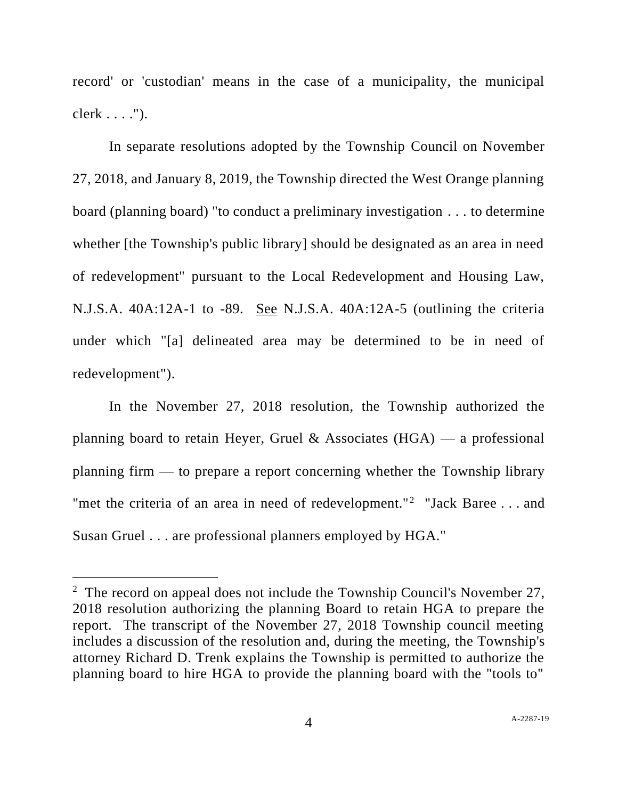record' or 'custodian' means in the case of a municipality, the municipal clerk . . . .").

In separate resolutions adopted by the Township Council on November 27, 2018, and January 8, 2019, the Township directed the West Orange planning board (planning board) "to conduct a preliminary investigation . . . to determine whether [the Township's public library] should be designated as an area in need of redevelopment" pursuant to the Local Redevelopment and Housing Law, N.J.S.A. 40A:12A-1 to -89. See N.J.S.A. 40A:12A-5 (outlining the criteria under which "[a] delineated area may be determined to be in need of redevelopment").

In the November 27, 2018 resolution, the Township authorized the planning board to retain Heyer, Gruel & Associates  $(HGA)$  — a professional planning firm — to prepare a report concerning whether the Township library "met the criteria of an area in need of redevelopment."<sup>2</sup> "Jack Baree . . . and Susan Gruel . . . are professional planners employed by HGA."

<sup>&</sup>lt;sup>2</sup> The record on appeal does not include the Township Council's November 27, 2018 resolution authorizing the planning Board to retain HGA to prepare the report. The transcript of the November 27, 2018 Township council meeting includes a discussion of the resolution and, during the meeting, the Township's attorney Richard D. Trenk explains the Township is permitted to authorize the planning board to hire HGA to provide the planning board with the "tools to"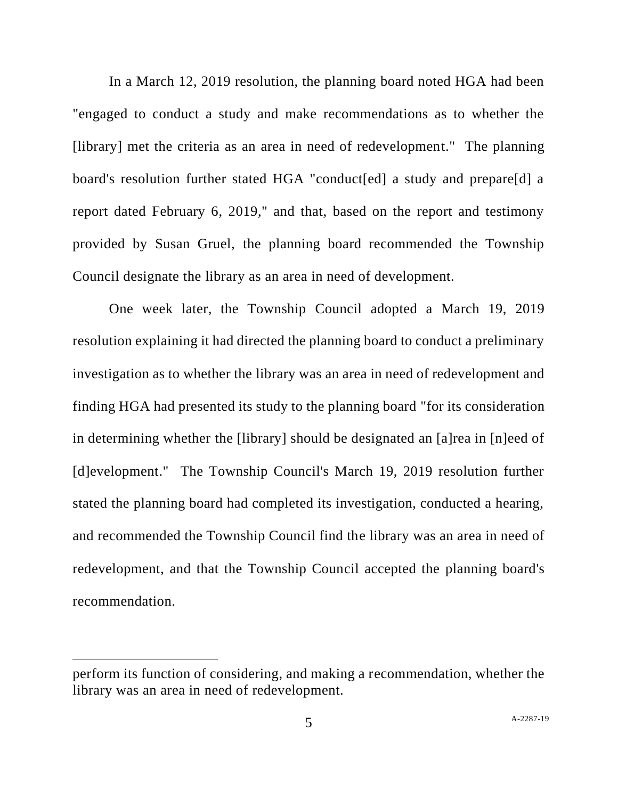In a March 12, 2019 resolution, the planning board noted HGA had been "engaged to conduct a study and make recommendations as to whether the [library] met the criteria as an area in need of redevelopment." The planning board's resolution further stated HGA "conduct[ed] a study and prepare[d] a report dated February 6, 2019," and that, based on the report and testimony provided by Susan Gruel, the planning board recommended the Township Council designate the library as an area in need of development.

One week later, the Township Council adopted a March 19, 2019 resolution explaining it had directed the planning board to conduct a preliminary investigation as to whether the library was an area in need of redevelopment and finding HGA had presented its study to the planning board "for its consideration in determining whether the [library] should be designated an [a]rea in [n]eed of [d]evelopment." The Township Council's March 19, 2019 resolution further stated the planning board had completed its investigation, conducted a hearing, and recommended the Township Council find the library was an area in need of redevelopment, and that the Township Council accepted the planning board's recommendation.

perform its function of considering, and making a recommendation, whether the library was an area in need of redevelopment.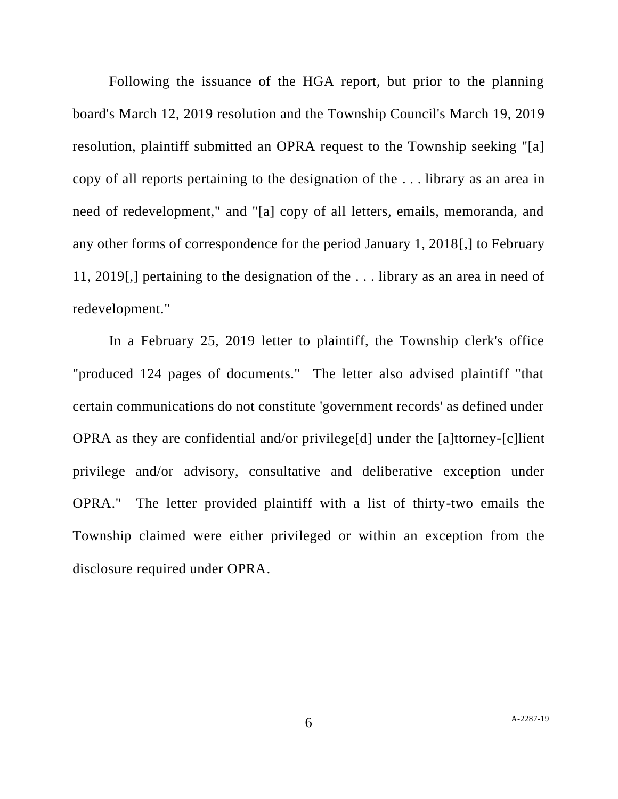Following the issuance of the HGA report, but prior to the planning board's March 12, 2019 resolution and the Township Council's March 19, 2019 resolution, plaintiff submitted an OPRA request to the Township seeking "[a] copy of all reports pertaining to the designation of the . . . library as an area in need of redevelopment," and "[a] copy of all letters, emails, memoranda, and any other forms of correspondence for the period January 1, 2018[,] to February 11, 2019[,] pertaining to the designation of the . . . library as an area in need of redevelopment."

In a February 25, 2019 letter to plaintiff, the Township clerk's office "produced 124 pages of documents." The letter also advised plaintiff "that certain communications do not constitute 'government records' as defined under OPRA as they are confidential and/or privilege[d] under the [a]ttorney-[c]lient privilege and/or advisory, consultative and deliberative exception under OPRA." The letter provided plaintiff with a list of thirty-two emails the Township claimed were either privileged or within an exception from the disclosure required under OPRA.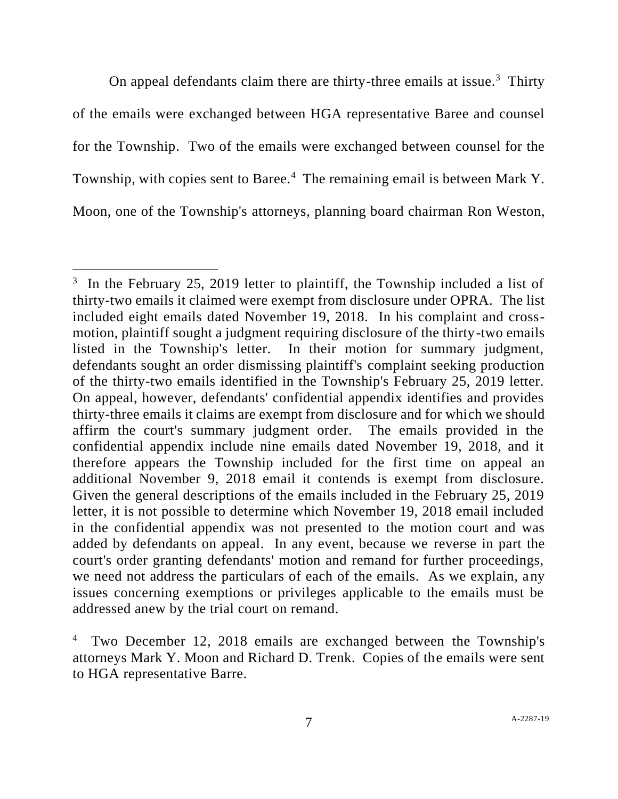On appeal defendants claim there are thirty-three emails at issue. $3$  Thirty of the emails were exchanged between HGA representative Baree and counsel for the Township. Two of the emails were exchanged between counsel for the Township, with copies sent to Baree.<sup>4</sup> The remaining email is between Mark Y. Moon, one of the Township's attorneys, planning board chairman Ron Weston,

 $3$  In the February 25, 2019 letter to plaintiff, the Township included a list of thirty-two emails it claimed were exempt from disclosure under OPRA. The list included eight emails dated November 19, 2018. In his complaint and crossmotion, plaintiff sought a judgment requiring disclosure of the thirty-two emails listed in the Township's letter. In their motion for summary judgment, defendants sought an order dismissing plaintiff's complaint seeking production of the thirty-two emails identified in the Township's February 25, 2019 letter. On appeal, however, defendants' confidential appendix identifies and provides thirty-three emails it claims are exempt from disclosure and for which we should affirm the court's summary judgment order. The emails provided in the confidential appendix include nine emails dated November 19, 2018, and it therefore appears the Township included for the first time on appeal an additional November 9, 2018 email it contends is exempt from disclosure. Given the general descriptions of the emails included in the February 25, 2019 letter, it is not possible to determine which November 19, 2018 email included in the confidential appendix was not presented to the motion court and was added by defendants on appeal. In any event, because we reverse in part the court's order granting defendants' motion and remand for further proceedings, we need not address the particulars of each of the emails. As we explain, any issues concerning exemptions or privileges applicable to the emails must be addressed anew by the trial court on remand.

<sup>4</sup> Two December 12, 2018 emails are exchanged between the Township's attorneys Mark Y. Moon and Richard D. Trenk. Copies of the emails were sent to HGA representative Barre.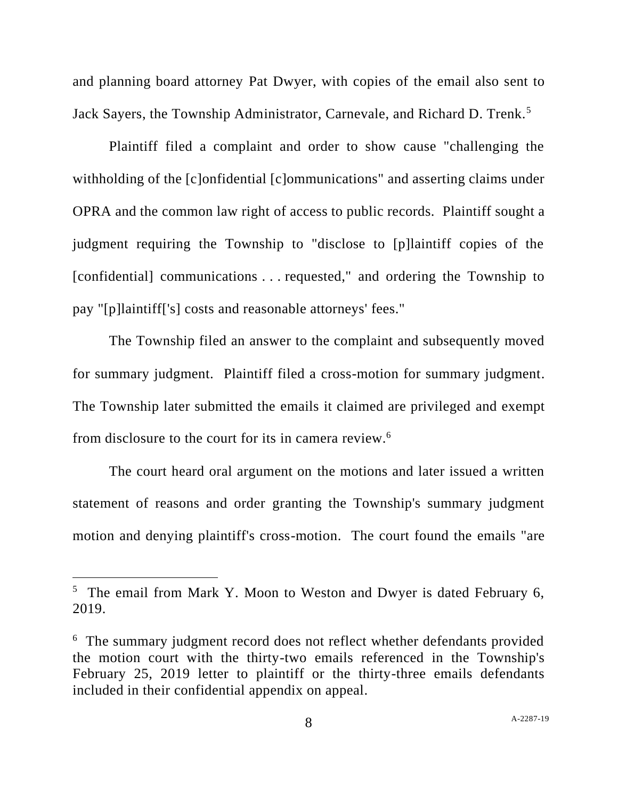and planning board attorney Pat Dwyer, with copies of the email also sent to Jack Sayers, the Township Administrator, Carnevale, and Richard D. Trenk.<sup>5</sup>

Plaintiff filed a complaint and order to show cause "challenging the withholding of the [c]onfidential [c]ommunications" and asserting claims under OPRA and the common law right of access to public records. Plaintiff sought a judgment requiring the Township to "disclose to [p]laintiff copies of the [confidential] communications . . . requested," and ordering the Township to pay "[p]laintiff['s] costs and reasonable attorneys' fees."

The Township filed an answer to the complaint and subsequently moved for summary judgment. Plaintiff filed a cross-motion for summary judgment. The Township later submitted the emails it claimed are privileged and exempt from disclosure to the court for its in camera review.<sup>6</sup>

The court heard oral argument on the motions and later issued a written statement of reasons and order granting the Township's summary judgment motion and denying plaintiff's cross-motion. The court found the emails "are

<sup>&</sup>lt;sup>5</sup> The email from Mark Y. Moon to Weston and Dwyer is dated February 6, 2019.

<sup>&</sup>lt;sup>6</sup> The summary judgment record does not reflect whether defendants provided the motion court with the thirty-two emails referenced in the Township's February 25, 2019 letter to plaintiff or the thirty-three emails defendants included in their confidential appendix on appeal.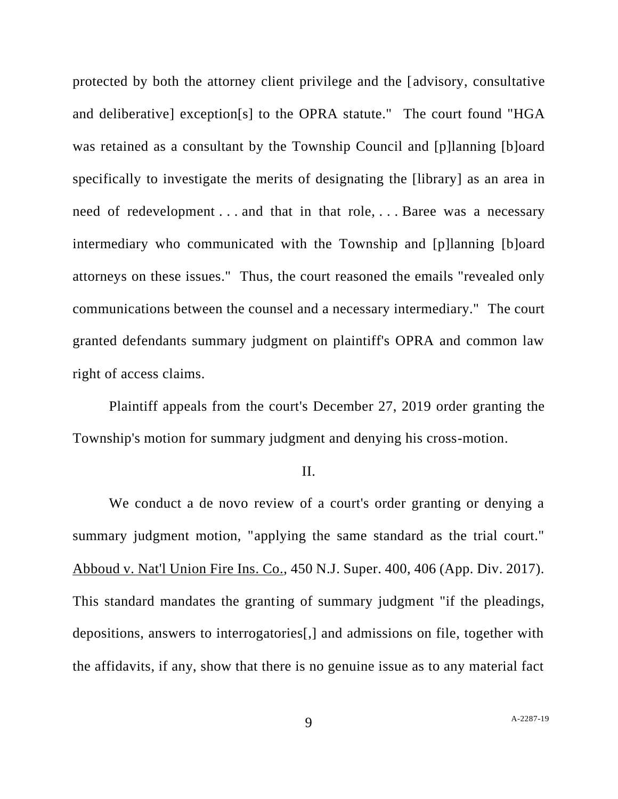protected by both the attorney client privilege and the [advisory, consultative and deliberative] exception[s] to the OPRA statute." The court found "HGA was retained as a consultant by the Township Council and [p]lanning [b]oard specifically to investigate the merits of designating the [library] as an area in need of redevelopment . . . and that in that role, . . . Baree was a necessary intermediary who communicated with the Township and [p]lanning [b]oard attorneys on these issues." Thus, the court reasoned the emails "revealed only communications between the counsel and a necessary intermediary." The court granted defendants summary judgment on plaintiff's OPRA and common law right of access claims.

Plaintiff appeals from the court's December 27, 2019 order granting the Township's motion for summary judgment and denying his cross-motion.

#### II.

We conduct a de novo review of a court's order granting or denying a summary judgment motion, "applying the same standard as the trial court." Abboud v. Nat'l Union Fire Ins. Co., 450 N.J. Super. 400, 406 (App. Div. 2017). This standard mandates the granting of summary judgment "if the pleadings, depositions, answers to interrogatories[,] and admissions on file, together with the affidavits, if any, show that there is no genuine issue as to any material fact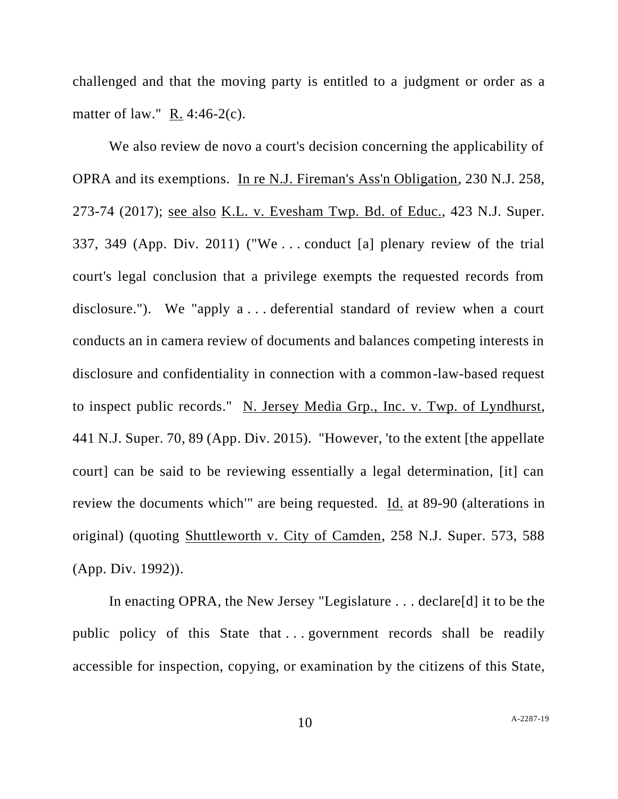challenged and that the moving party is entitled to a judgment or order as a matter of law." R. 4:46-2(c).

We also review de novo a court's decision concerning the applicability of OPRA and its exemptions. In re N.J. Fireman's Ass'n Obligation, 230 N.J. 258, 273-74 (2017); see also K.L. v. Evesham Twp. Bd. of Educ., 423 N.J. Super. 337, 349 (App. Div. 2011) ("We . . . conduct [a] plenary review of the trial court's legal conclusion that a privilege exempts the requested records from disclosure."). We "apply a . . . deferential standard of review when a court conducts an in camera review of documents and balances competing interests in disclosure and confidentiality in connection with a common-law-based request to inspect public records." N. Jersey Media Grp., Inc. v. Twp. of Lyndhurst, 441 N.J. Super. 70, 89 (App. Div. 2015). "However, 'to the extent [the appellate court] can be said to be reviewing essentially a legal determination, [it] can review the documents which'" are being requested. Id. at 89-90 (alterations in original) (quoting Shuttleworth v. City of Camden, 258 N.J. Super. 573, 588 (App. Div. 1992)).

In enacting OPRA, the New Jersey "Legislature . . . declare[d] it to be the public policy of this State that ... government records shall be readily accessible for inspection, copying, or examination by the citizens of this State,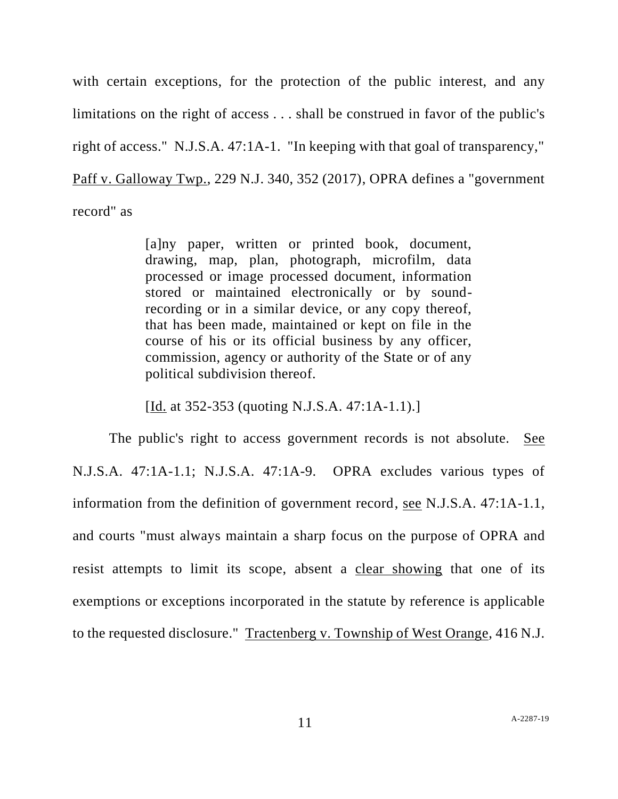with certain exceptions, for the protection of the public interest, and any limitations on the right of access . . . shall be construed in favor of the public's right of access." N.J.S.A. 47:1A-1. "In keeping with that goal of transparency," Paff v. Galloway Twp., 229 N.J. 340, 352 (2017), OPRA defines a "government record" as

> [a]ny paper, written or printed book, document, drawing, map, plan, photograph, microfilm, data processed or image processed document, information stored or maintained electronically or by soundrecording or in a similar device, or any copy thereof, that has been made, maintained or kept on file in the course of his or its official business by any officer, commission, agency or authority of the State or of any political subdivision thereof.

[Id. at 352-353 (quoting N.J.S.A. 47:1A-1.1).]

The public's right to access government records is not absolute. See N.J.S.A. 47:1A-1.1; N.J.S.A. 47:1A-9. OPRA excludes various types of information from the definition of government record, <u>see</u> N.J.S.A. 47:1A-1.1, and courts "must always maintain a sharp focus on the purpose of OPRA and resist attempts to limit its scope, absent a clear showing that one of its exemptions or exceptions incorporated in the statute by reference is applicable to the requested disclosure." Tractenberg v. Township of West Orange, 416 N.J.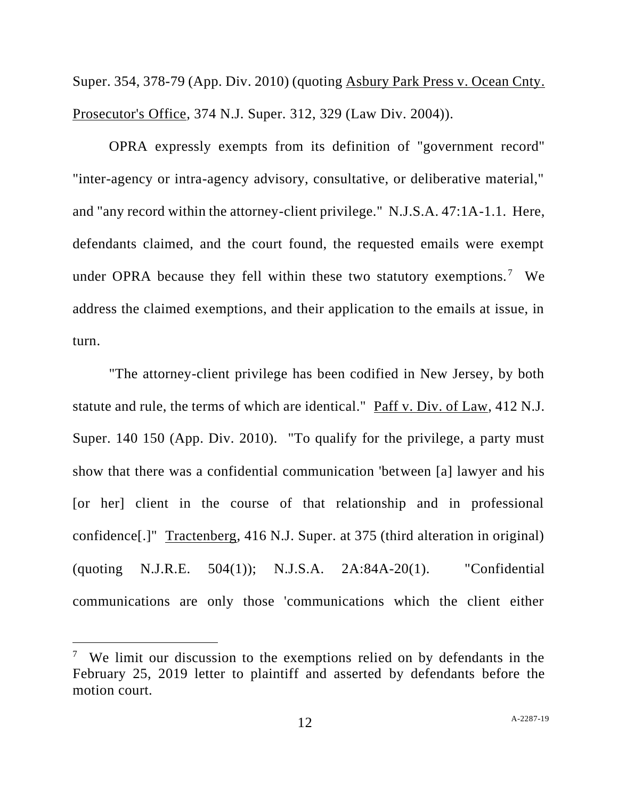Super. 354, 378-79 (App. Div. 2010) (quoting Asbury Park Press v. Ocean Cnty. Prosecutor's Office, 374 N.J. Super. 312, 329 (Law Div. 2004)).

OPRA expressly exempts from its definition of "government record" "inter-agency or intra-agency advisory, consultative, or deliberative material," and "any record within the attorney-client privilege." N.J.S.A. 47:1A-1.1. Here, defendants claimed, and the court found, the requested emails were exempt under OPRA because they fell within these two statutory exemptions.<sup>7</sup> We address the claimed exemptions, and their application to the emails at issue, in turn.

"The attorney-client privilege has been codified in New Jersey, by both statute and rule, the terms of which are identical." Paff v. Div. of Law, 412 N.J. Super. 140 150 (App. Div. 2010). "To qualify for the privilege, a party must show that there was a confidential communication 'between [a] lawyer and his [or her] client in the course of that relationship and in professional confidence[.]" Tractenberg, 416 N.J. Super. at 375 (third alteration in original) (quoting N.J.R.E. 504(1)); N.J.S.A. 2A:84A-20(1). "Confidential communications are only those 'communications which the client either

<sup>&</sup>lt;sup>7</sup> We limit our discussion to the exemptions relied on by defendants in the February 25, 2019 letter to plaintiff and asserted by defendants before the motion court.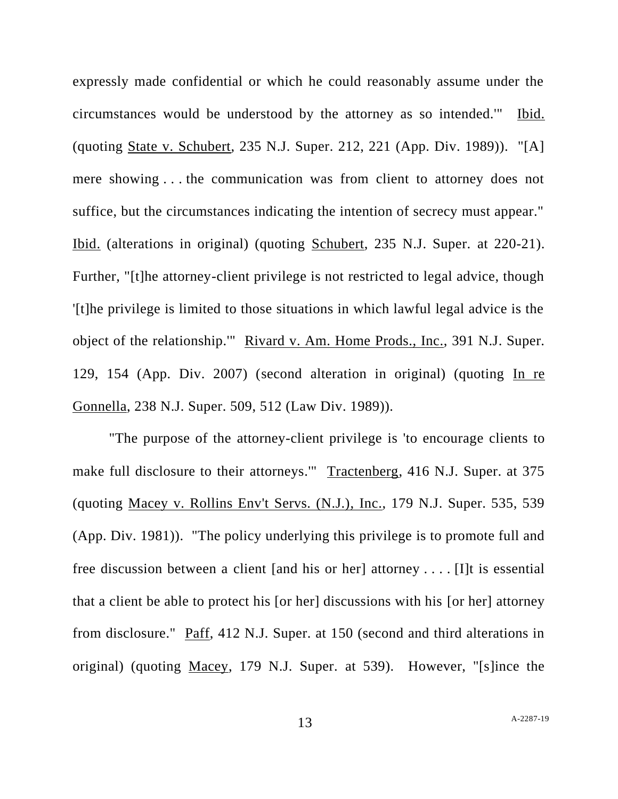expressly made confidential or which he could reasonably assume under the circumstances would be understood by the attorney as so intended.'" Ibid. (quoting State v. Schubert, 235 N.J. Super. 212, 221 (App. Div. 1989)). "[A] mere showing . . . the communication was from client to attorney does not suffice, but the circumstances indicating the intention of secrecy must appear." Ibid. (alterations in original) (quoting Schubert, 235 N.J. Super. at 220-21). Further, "[t]he attorney-client privilege is not restricted to legal advice, though '[t]he privilege is limited to those situations in which lawful legal advice is the object of the relationship." Rivard v. Am. Home Prods., Inc., 391 N.J. Super. 129, 154 (App. Div. 2007) (second alteration in original) (quoting In re Gonnella, 238 N.J. Super. 509, 512 (Law Div. 1989)).

"The purpose of the attorney-client privilege is 'to encourage clients to make full disclosure to their attorneys.'" Tractenberg, 416 N.J. Super. at 375 (quoting Macey v. Rollins Env't Servs. (N.J.), Inc., 179 N.J. Super. 535, 539 (App. Div. 1981)). "The policy underlying this privilege is to promote full and free discussion between a client [and his or her] attorney . . . . [I]t is essential that a client be able to protect his [or her] discussions with his [or her] attorney from disclosure." Paff, 412 N.J. Super. at 150 (second and third alterations in original) (quoting Macey, 179 N.J. Super. at 539). However, "[s]ince the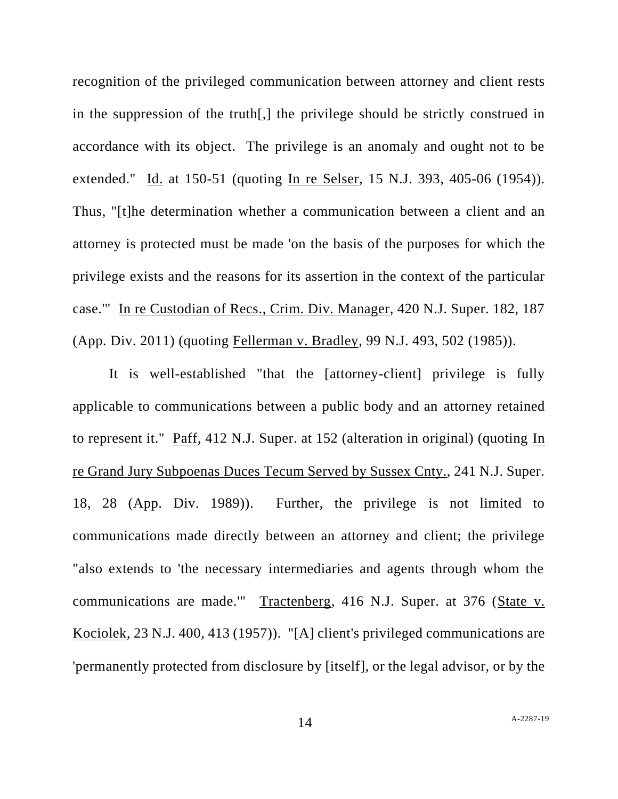recognition of the privileged communication between attorney and client rests in the suppression of the truth[,] the privilege should be strictly construed in accordance with its object. The privilege is an anomaly and ought not to be extended." Id. at 150-51 (quoting In re Selser, 15 N.J. 393, 405-06 (1954)). Thus, "[t]he determination whether a communication between a client and an attorney is protected must be made 'on the basis of the purposes for which the privilege exists and the reasons for its assertion in the context of the particular case.'" In re Custodian of Recs., Crim. Div. Manager, 420 N.J. Super. 182, 187 (App. Div. 2011) (quoting Fellerman v. Bradley, 99 N.J. 493, 502 (1985)).

It is well-established "that the [attorney-client] privilege is fully applicable to communications between a public body and an attorney retained to represent it." Paff, 412 N.J. Super. at 152 (alteration in original) (quoting In re Grand Jury Subpoenas Duces Tecum Served by Sussex Cnty., 241 N.J. Super. 18, 28 (App. Div. 1989)). Further, the privilege is not limited to communications made directly between an attorney and client; the privilege "also extends to 'the necessary intermediaries and agents through whom the communications are made.'" Tractenberg, 416 N.J. Super. at 376 (State v. Kociolek, 23 N.J. 400, 413 (1957)). "[A] client's privileged communications are 'permanently protected from disclosure by [itself], or the legal advisor, or by the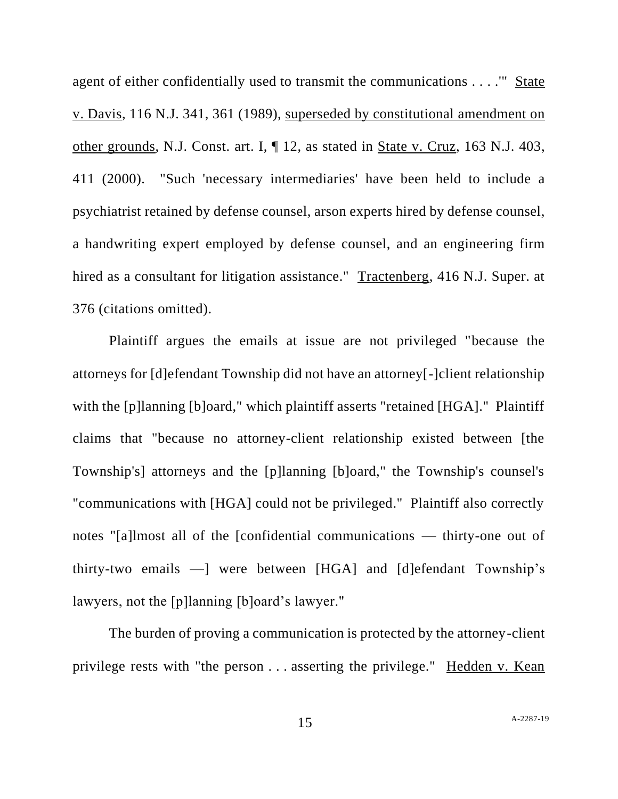agent of either confidentially used to transmit the communications . . . .'" State v. Davis, 116 N.J. 341, 361 (1989), superseded by constitutional amendment on other grounds, N.J. Const. art. I, ¶ 12, as stated in State v. Cruz, 163 N.J. 403, 411 (2000). "Such 'necessary intermediaries' have been held to include a psychiatrist retained by defense counsel, arson experts hired by defense counsel, a handwriting expert employed by defense counsel, and an engineering firm hired as a consultant for litigation assistance." Tractenberg, 416 N.J. Super. at 376 (citations omitted).

Plaintiff argues the emails at issue are not privileged "because the attorneys for [d]efendant Township did not have an attorney[-]client relationship with the [p]lanning [b]oard," which plaintiff asserts "retained [HGA]." Plaintiff claims that "because no attorney-client relationship existed between [the Township's] attorneys and the [p]lanning [b]oard," the Township's counsel's "communications with [HGA] could not be privileged." Plaintiff also correctly notes "[a]lmost all of the [confidential communications — thirty-one out of thirty-two emails —] were between [HGA] and [d]efendant Township's lawyers, not the [p]lanning [b]oard's lawyer."

The burden of proving a communication is protected by the attorney-client privilege rests with "the person . . . asserting the privilege." Hedden v. Kean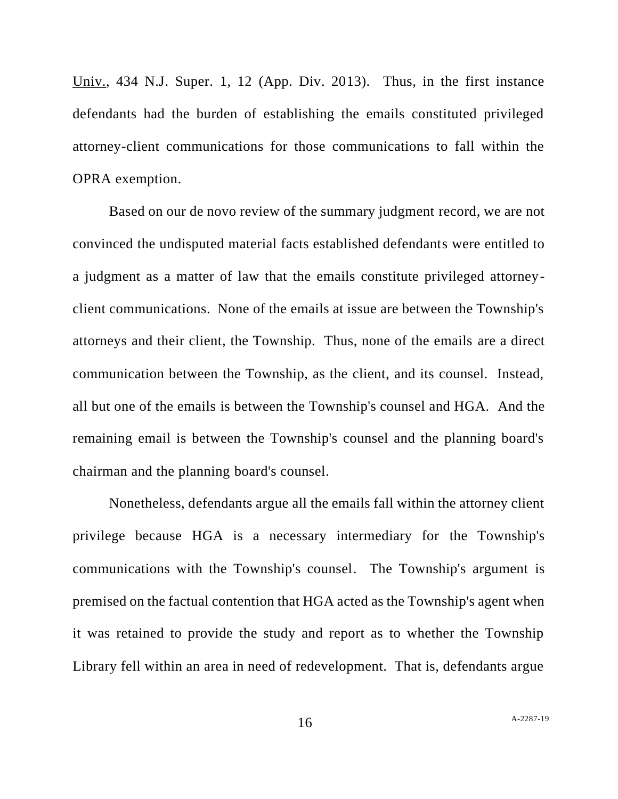Univ., 434 N.J. Super. 1, 12 (App. Div. 2013). Thus, in the first instance defendants had the burden of establishing the emails constituted privileged attorney-client communications for those communications to fall within the OPRA exemption.

Based on our de novo review of the summary judgment record, we are not convinced the undisputed material facts established defendants were entitled to a judgment as a matter of law that the emails constitute privileged attorneyclient communications. None of the emails at issue are between the Township's attorneys and their client, the Township. Thus, none of the emails are a direct communication between the Township, as the client, and its counsel. Instead, all but one of the emails is between the Township's counsel and HGA. And the remaining email is between the Township's counsel and the planning board's chairman and the planning board's counsel.

Nonetheless, defendants argue all the emails fall within the attorney client privilege because HGA is a necessary intermediary for the Township's communications with the Township's counsel. The Township's argument is premised on the factual contention that HGA acted as the Township's agent when it was retained to provide the study and report as to whether the Township Library fell within an area in need of redevelopment. That is, defendants argue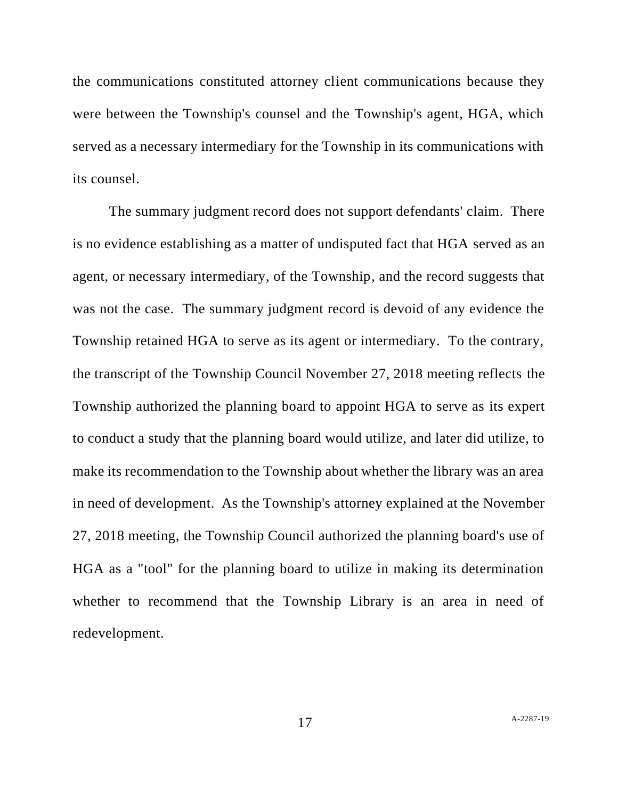the communications constituted attorney client communications because they were between the Township's counsel and the Township's agent, HGA, which served as a necessary intermediary for the Township in its communications with its counsel.

The summary judgment record does not support defendants' claim. There is no evidence establishing as a matter of undisputed fact that HGA served as an agent, or necessary intermediary, of the Township, and the record suggests that was not the case. The summary judgment record is devoid of any evidence the Township retained HGA to serve as its agent or intermediary. To the contrary, the transcript of the Township Council November 27, 2018 meeting reflects the Township authorized the planning board to appoint HGA to serve as its expert to conduct a study that the planning board would utilize, and later did utilize, to make its recommendation to the Township about whether the library was an area in need of development. As the Township's attorney explained at the November 27, 2018 meeting, the Township Council authorized the planning board's use of HGA as a "tool" for the planning board to utilize in making its determination whether to recommend that the Township Library is an area in need of redevelopment.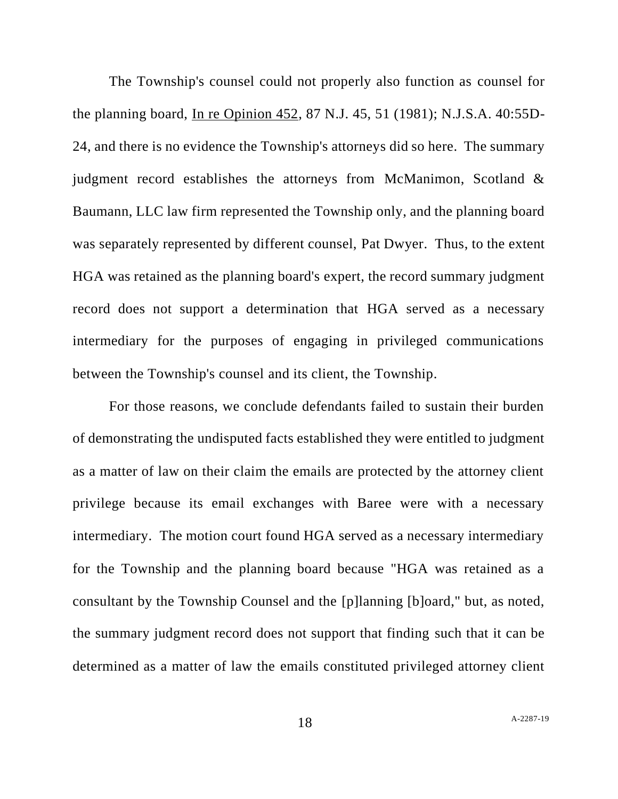The Township's counsel could not properly also function as counsel for the planning board, In re Opinion 452, 87 N.J. 45, 51 (1981); N.J.S.A. 40:55D-24, and there is no evidence the Township's attorneys did so here. The summary judgment record establishes the attorneys from McManimon, Scotland & Baumann, LLC law firm represented the Township only, and the planning board was separately represented by different counsel, Pat Dwyer. Thus, to the extent HGA was retained as the planning board's expert, the record summary judgment record does not support a determination that HGA served as a necessary intermediary for the purposes of engaging in privileged communications between the Township's counsel and its client, the Township.

For those reasons, we conclude defendants failed to sustain their burden of demonstrating the undisputed facts established they were entitled to judgment as a matter of law on their claim the emails are protected by the attorney client privilege because its email exchanges with Baree were with a necessary intermediary. The motion court found HGA served as a necessary intermediary for the Township and the planning board because "HGA was retained as a consultant by the Township Counsel and the [p]lanning [b]oard," but, as noted, the summary judgment record does not support that finding such that it can be determined as a matter of law the emails constituted privileged attorney client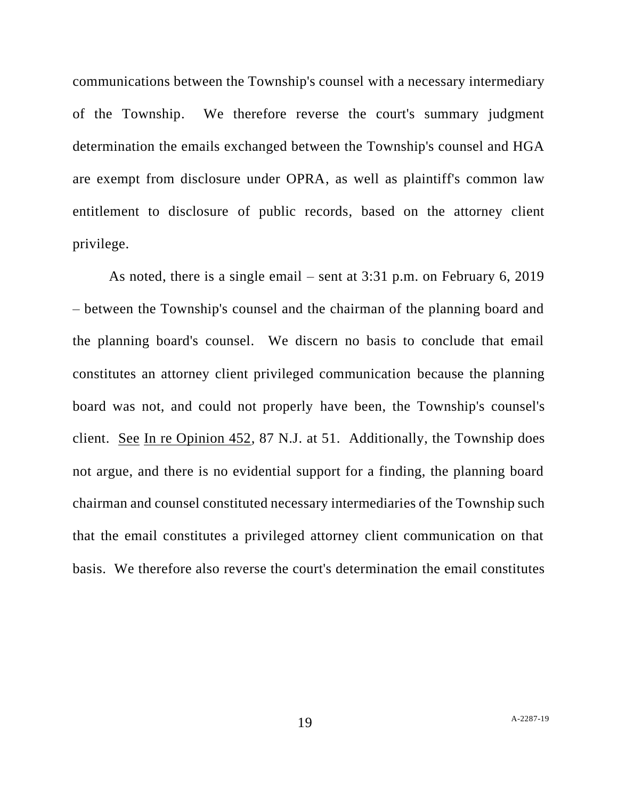communications between the Township's counsel with a necessary intermediary of the Township. We therefore reverse the court's summary judgment determination the emails exchanged between the Township's counsel and HGA are exempt from disclosure under OPRA, as well as plaintiff's common law entitlement to disclosure of public records, based on the attorney client privilege.

As noted, there is a single email – sent at 3:31 p.m. on February 6, 2019 – between the Township's counsel and the chairman of the planning board and the planning board's counsel. We discern no basis to conclude that email constitutes an attorney client privileged communication because the planning board was not, and could not properly have been, the Township's counsel's client. See In re Opinion 452, 87 N.J. at 51. Additionally, the Township does not argue, and there is no evidential support for a finding, the planning board chairman and counsel constituted necessary intermediaries of the Township such that the email constitutes a privileged attorney client communication on that basis. We therefore also reverse the court's determination the email constitutes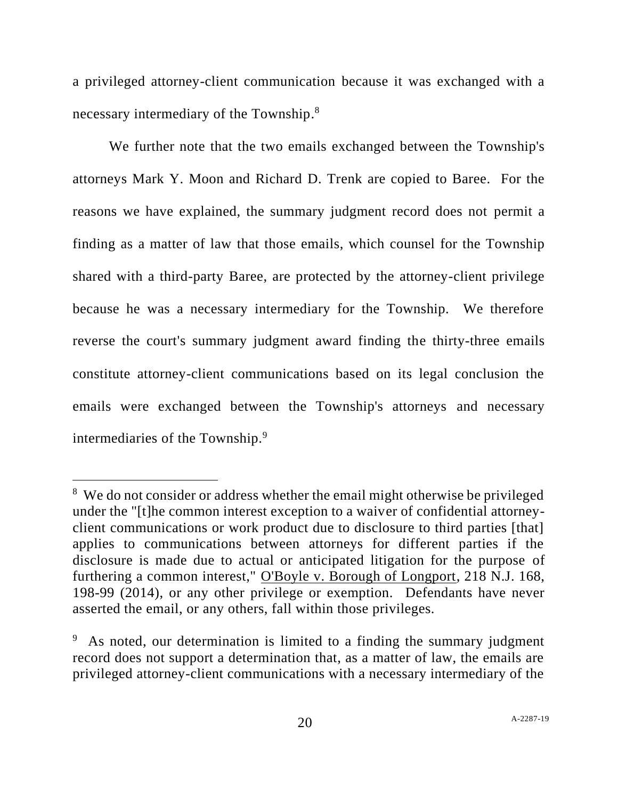a privileged attorney-client communication because it was exchanged with a necessary intermediary of the Township.<sup>8</sup>

We further note that the two emails exchanged between the Township's attorneys Mark Y. Moon and Richard D. Trenk are copied to Baree. For the reasons we have explained, the summary judgment record does not permit a finding as a matter of law that those emails, which counsel for the Township shared with a third-party Baree, are protected by the attorney-client privilege because he was a necessary intermediary for the Township. We therefore reverse the court's summary judgment award finding the thirty-three emails constitute attorney-client communications based on its legal conclusion the emails were exchanged between the Township's attorneys and necessary intermediaries of the Township.<sup>9</sup>

<sup>&</sup>lt;sup>8</sup> We do not consider or address whether the email might otherwise be privileged under the "[t]he common interest exception to a waiver of confidential attorneyclient communications or work product due to disclosure to third parties [that] applies to communications between attorneys for different parties if the disclosure is made due to actual or anticipated litigation for the purpose of furthering a common interest," O'Boyle v. Borough of Longport, 218 N.J. 168, 198-99 (2014), or any other privilege or exemption. Defendants have never asserted the email, or any others, fall within those privileges.

<sup>&</sup>lt;sup>9</sup> As noted, our determination is limited to a finding the summary judgment record does not support a determination that, as a matter of law, the emails are privileged attorney-client communications with a necessary intermediary of the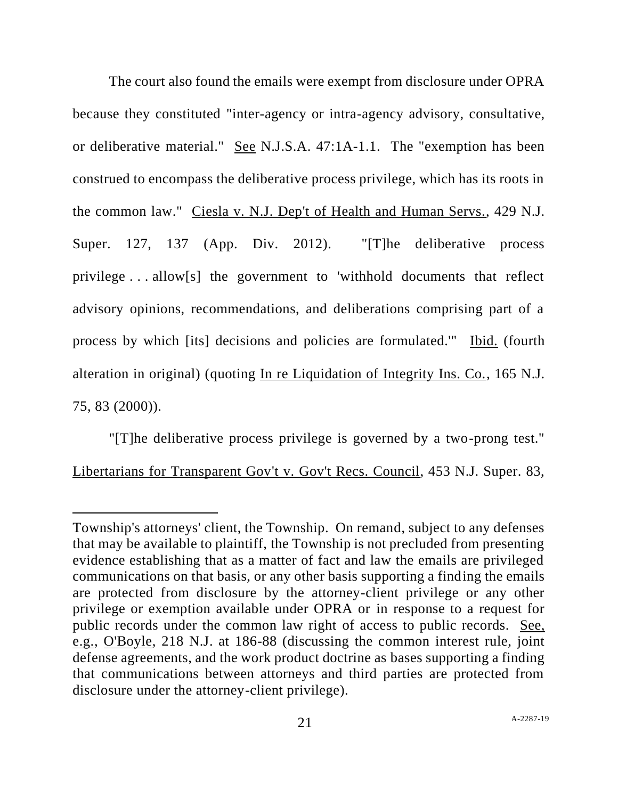The court also found the emails were exempt from disclosure under OPRA because they constituted "inter-agency or intra-agency advisory, consultative, or deliberative material." See N.J.S.A. 47:1A-1.1. The "exemption has been construed to encompass the deliberative process privilege, which has its roots in the common law." Ciesla v. N.J. Dep't of Health and Human Servs., 429 N.J. Super. 127, 137 (App. Div. 2012). "[T]he deliberative process privilege . . . allow[s] the government to 'withhold documents that reflect advisory opinions, recommendations, and deliberations comprising part of a process by which [its] decisions and policies are formulated.'" Ibid. (fourth alteration in original) (quoting In re Liquidation of Integrity Ins. Co., 165 N.J. 75, 83 (2000)).

"[T]he deliberative process privilege is governed by a two-prong test." Libertarians for Transparent Gov't v. Gov't Recs. Council, 453 N.J. Super. 83,

Township's attorneys' client, the Township. On remand, subject to any defenses that may be available to plaintiff, the Township is not precluded from presenting evidence establishing that as a matter of fact and law the emails are privileged communications on that basis, or any other basis supporting a finding the emails are protected from disclosure by the attorney-client privilege or any other privilege or exemption available under OPRA or in response to a request for public records under the common law right of access to public records. See, e.g., O'Boyle, 218 N.J. at 186-88 (discussing the common interest rule, joint defense agreements, and the work product doctrine as bases supporting a finding that communications between attorneys and third parties are protected from disclosure under the attorney-client privilege).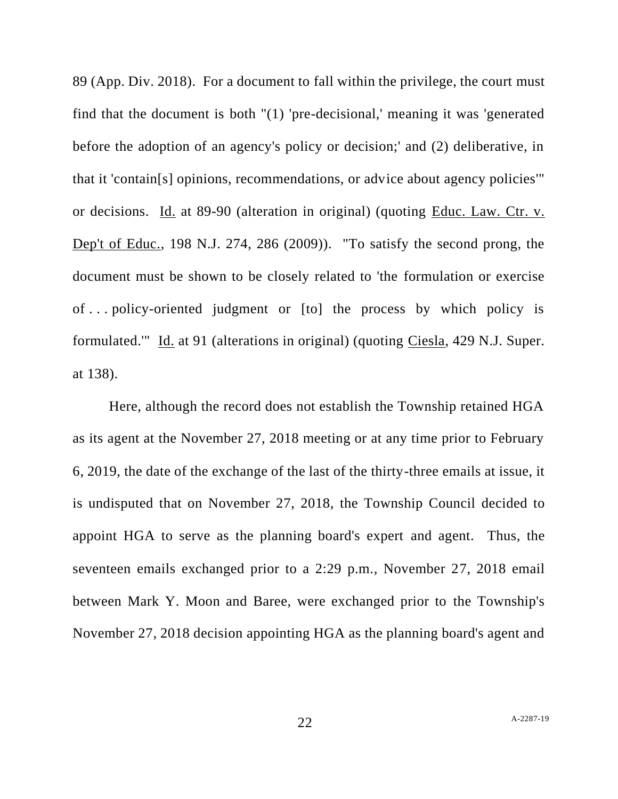89 (App. Div. 2018). For a document to fall within the privilege, the court must find that the document is both "(1) 'pre-decisional,' meaning it was 'generated before the adoption of an agency's policy or decision;' and (2) deliberative, in that it 'contain[s] opinions, recommendations, or advice about agency policies'" or decisions. Id. at 89-90 (alteration in original) (quoting Educ. Law. Ctr. v. Dep't of Educ., 198 N.J. 274, 286 (2009)). "To satisfy the second prong, the document must be shown to be closely related to 'the formulation or exercise of . . . policy-oriented judgment or [to] the process by which policy is formulated.'" Id. at 91 (alterations in original) (quoting Ciesla, 429 N.J. Super. at 138).

Here, although the record does not establish the Township retained HGA as its agent at the November 27, 2018 meeting or at any time prior to February 6, 2019, the date of the exchange of the last of the thirty-three emails at issue, it is undisputed that on November 27, 2018, the Township Council decided to appoint HGA to serve as the planning board's expert and agent. Thus, the seventeen emails exchanged prior to a 2:29 p.m., November 27, 2018 email between Mark Y. Moon and Baree, were exchanged prior to the Township's November 27, 2018 decision appointing HGA as the planning board's agent and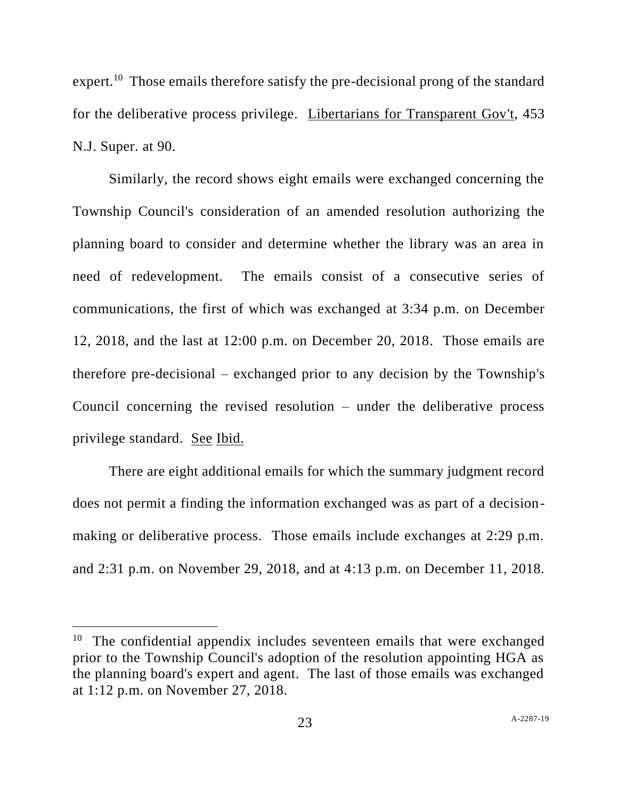expert.<sup>10</sup> Those emails therefore satisfy the pre-decisional prong of the standard for the deliberative process privilege. Libertarians for Transparent Gov't, 453 N.J. Super. at 90.

Similarly, the record shows eight emails were exchanged concerning the Township Council's consideration of an amended resolution authorizing the planning board to consider and determine whether the library was an area in need of redevelopment. The emails consist of a consecutive series of communications, the first of which was exchanged at 3:34 p.m. on December 12, 2018, and the last at 12:00 p.m. on December 20, 2018. Those emails are therefore pre-decisional – exchanged prior to any decision by the Township's Council concerning the revised resolution – under the deliberative process privilege standard. See Ibid.

There are eight additional emails for which the summary judgment record does not permit a finding the information exchanged was as part of a decisionmaking or deliberative process. Those emails include exchanges at 2:29 p.m. and 2:31 p.m. on November 29, 2018, and at 4:13 p.m. on December 11, 2018.

<sup>&</sup>lt;sup>10</sup> The confidential appendix includes seventeen emails that were exchanged prior to the Township Council's adoption of the resolution appointing HGA as the planning board's expert and agent. The last of those emails was exchanged at 1:12 p.m. on November 27, 2018.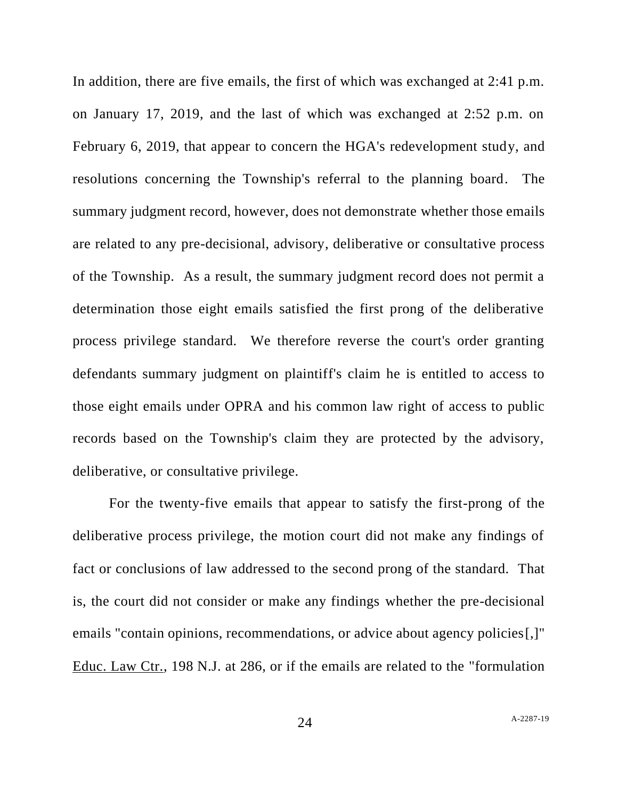In addition, there are five emails, the first of which was exchanged at 2:41 p.m. on January 17, 2019, and the last of which was exchanged at 2:52 p.m. on February 6, 2019, that appear to concern the HGA's redevelopment study, and resolutions concerning the Township's referral to the planning board. The summary judgment record, however, does not demonstrate whether those emails are related to any pre-decisional, advisory, deliberative or consultative process of the Township. As a result, the summary judgment record does not permit a determination those eight emails satisfied the first prong of the deliberative process privilege standard. We therefore reverse the court's order granting defendants summary judgment on plaintiff's claim he is entitled to access to those eight emails under OPRA and his common law right of access to public records based on the Township's claim they are protected by the advisory, deliberative, or consultative privilege.

For the twenty-five emails that appear to satisfy the first-prong of the deliberative process privilege, the motion court did not make any findings of fact or conclusions of law addressed to the second prong of the standard. That is, the court did not consider or make any findings whether the pre-decisional emails "contain opinions, recommendations, or advice about agency policies[,]" Educ. Law Ctr., 198 N.J. at 286, or if the emails are related to the "formulation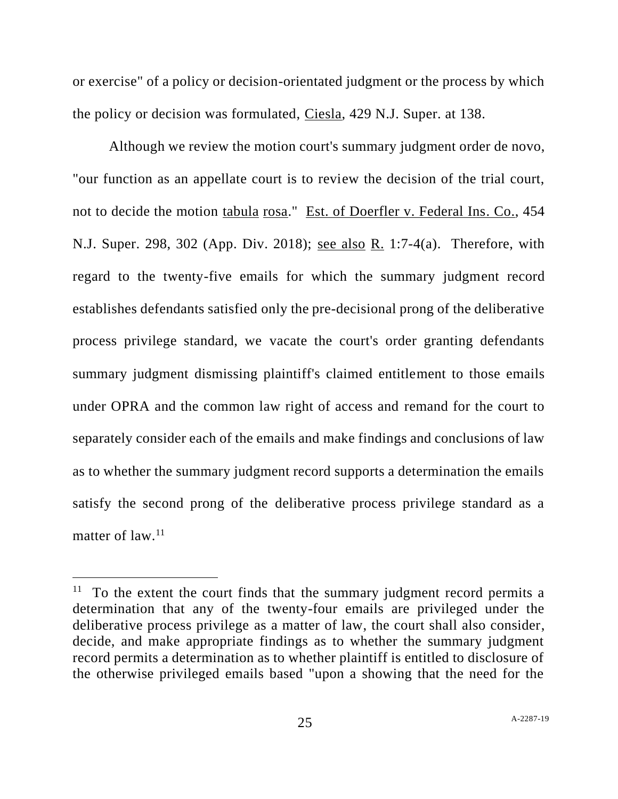or exercise" of a policy or decision-orientated judgment or the process by which the policy or decision was formulated, Ciesla, 429 N.J. Super. at 138.

Although we review the motion court's summary judgment order de novo, "our function as an appellate court is to review the decision of the trial court, not to decide the motion tabula rosa." Est. of Doerfler v. Federal Ins. Co., 454 N.J. Super. 298, 302 (App. Div. 2018); see also R. 1:7-4(a). Therefore, with regard to the twenty-five emails for which the summary judgment record establishes defendants satisfied only the pre-decisional prong of the deliberative process privilege standard, we vacate the court's order granting defendants summary judgment dismissing plaintiff's claimed entitlement to those emails under OPRA and the common law right of access and remand for the court to separately consider each of the emails and make findings and conclusions of law as to whether the summary judgment record supports a determination the emails satisfy the second prong of the deliberative process privilege standard as a matter of law.<sup>11</sup>

<sup>&</sup>lt;sup>11</sup> To the extent the court finds that the summary judgment record permits a determination that any of the twenty-four emails are privileged under the deliberative process privilege as a matter of law, the court shall also consider, decide, and make appropriate findings as to whether the summary judgment record permits a determination as to whether plaintiff is entitled to disclosure of the otherwise privileged emails based "upon a showing that the need for the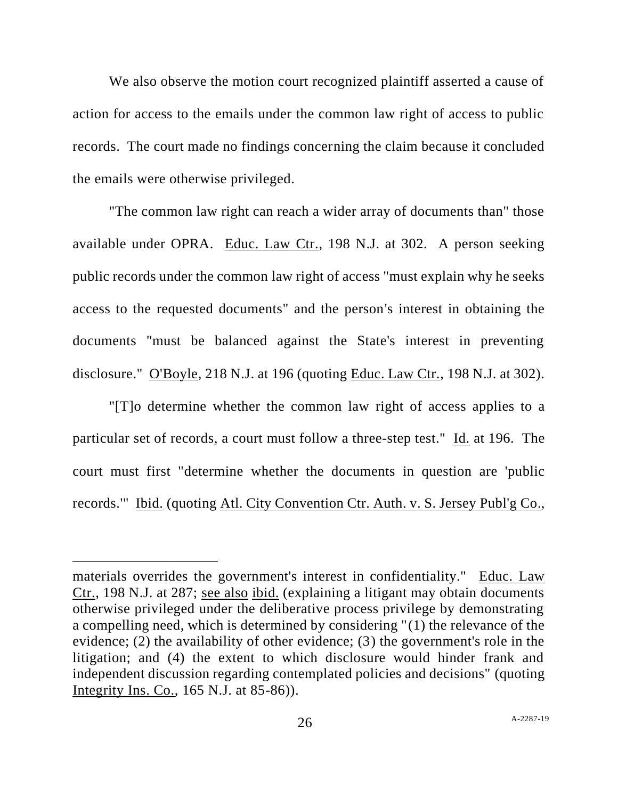We also observe the motion court recognized plaintiff asserted a cause of action for access to the emails under the common law right of access to public records. The court made no findings concerning the claim because it concluded the emails were otherwise privileged.

"The common law right can reach a wider array of documents than" those available under OPRA. Educ. Law Ctr., 198 N.J. at 302. A person seeking public records under the common law right of access "must explain why he seeks access to the requested documents" and the person's interest in obtaining the documents "must be balanced against the State's interest in preventing disclosure." O'Boyle, 218 N.J. at 196 (quoting Educ. Law Ctr., 198 N.J. at 302).

"[T]o determine whether the common law right of access applies to a particular set of records, a court must follow a three-step test." Id. at 196. The court must first "determine whether the documents in question are 'public records.'" Ibid. (quoting Atl. City Convention Ctr. Auth. v. S. Jersey Publ'g Co.,

materials overrides the government's interest in confidentiality." Educ. Law Ctr., 198 N.J. at 287; see also ibid. (explaining a litigant may obtain documents otherwise privileged under the deliberative process privilege by demonstrating a compelling need, which is determined by considering "(1) the relevance of the evidence; (2) the availability of other evidence; (3) the government's role in the litigation; and (4) the extent to which disclosure would hinder frank and independent discussion regarding contemplated policies and decisions" (quoting Integrity Ins. Co., 165 N.J. at 85-86)).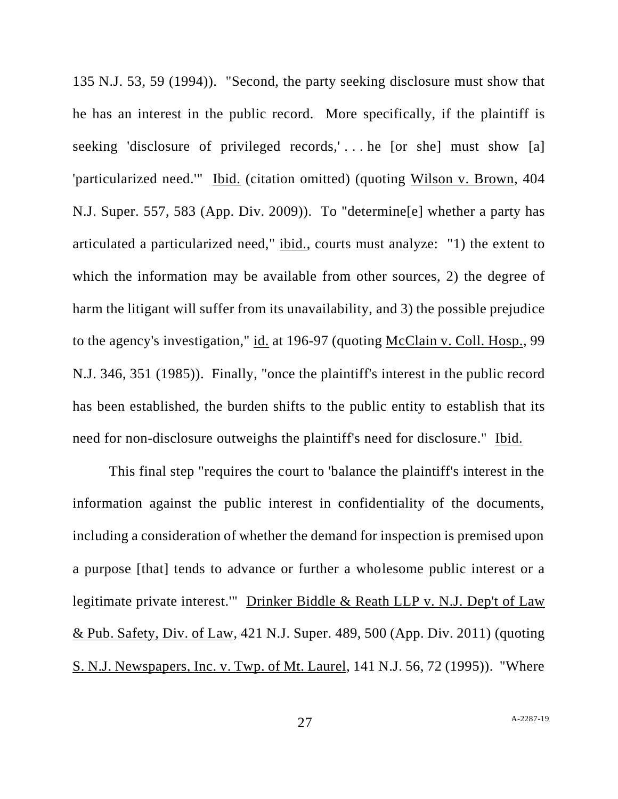135 N.J. 53, 59 (1994)). "Second, the party seeking disclosure must show that he has an interest in the public record. More specifically, if the plaintiff is seeking 'disclosure of privileged records,'... he [or she] must show [a] 'particularized need.'" Ibid. (citation omitted) (quoting Wilson v. Brown, 404 N.J. Super. 557, 583 (App. Div. 2009)). To "determine[e] whether a party has articulated a particularized need," ibid., courts must analyze: "1) the extent to which the information may be available from other sources, 2) the degree of harm the litigant will suffer from its unavailability, and 3) the possible prejudice to the agency's investigation," id. at 196-97 (quoting McClain v. Coll. Hosp., 99 N.J. 346, 351 (1985)). Finally, "once the plaintiff's interest in the public record has been established, the burden shifts to the public entity to establish that its need for non-disclosure outweighs the plaintiff's need for disclosure." Ibid.

This final step "requires the court to 'balance the plaintiff's interest in the information against the public interest in confidentiality of the documents, including a consideration of whether the demand for inspection is premised upon a purpose [that] tends to advance or further a wholesome public interest or a legitimate private interest.'" Drinker Biddle & Reath LLP v. N.J. Dep't of Law & Pub. Safety, Div. of Law, 421 N.J. Super. 489, 500 (App. Div. 2011) (quoting S. N.J. Newspapers, Inc. v. Twp. of Mt. Laurel, 141 N.J. 56, 72 (1995)). "Where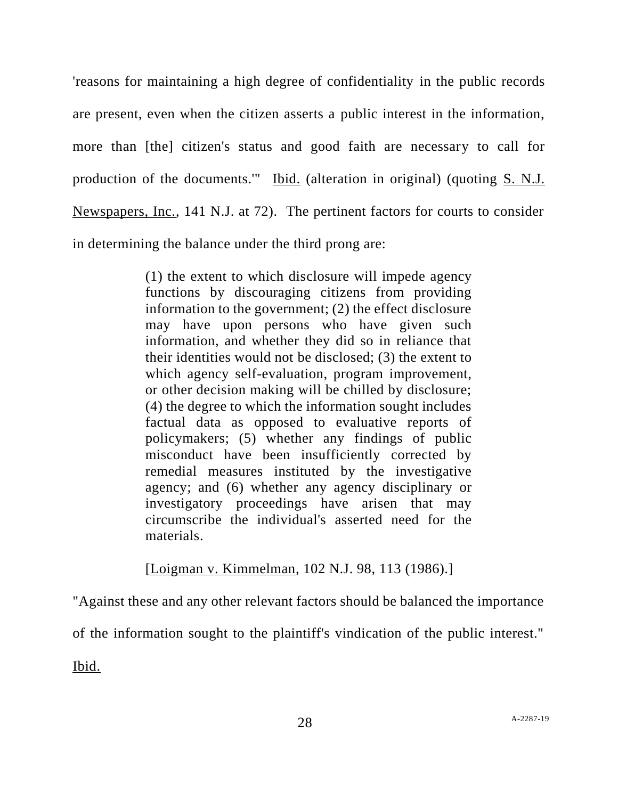'reasons for maintaining a high degree of confidentiality in the public records are present, even when the citizen asserts a public interest in the information, more than [the] citizen's status and good faith are necessary to call for production of the documents.'" Ibid. (alteration in original) (quoting S. N.J. Newspapers, Inc., 141 N.J. at 72). The pertinent factors for courts to consider in determining the balance under the third prong are:

> (1) the extent to which disclosure will impede agency functions by discouraging citizens from providing information to the government; (2) the effect disclosure may have upon persons who have given such information, and whether they did so in reliance that their identities would not be disclosed; (3) the extent to which agency self-evaluation, program improvement, or other decision making will be chilled by disclosure; (4) the degree to which the information sought includes factual data as opposed to evaluative reports of policymakers; (5) whether any findings of public misconduct have been insufficiently corrected by remedial measures instituted by the investigative agency; and (6) whether any agency disciplinary or investigatory proceedings have arisen that may circumscribe the individual's asserted need for the materials.

[Loigman v. Kimmelman, 102 N.J. 98, 113 (1986).]

"Against these and any other relevant factors should be balanced the importance of the information sought to the plaintiff's vindication of the public interest."

Ibid.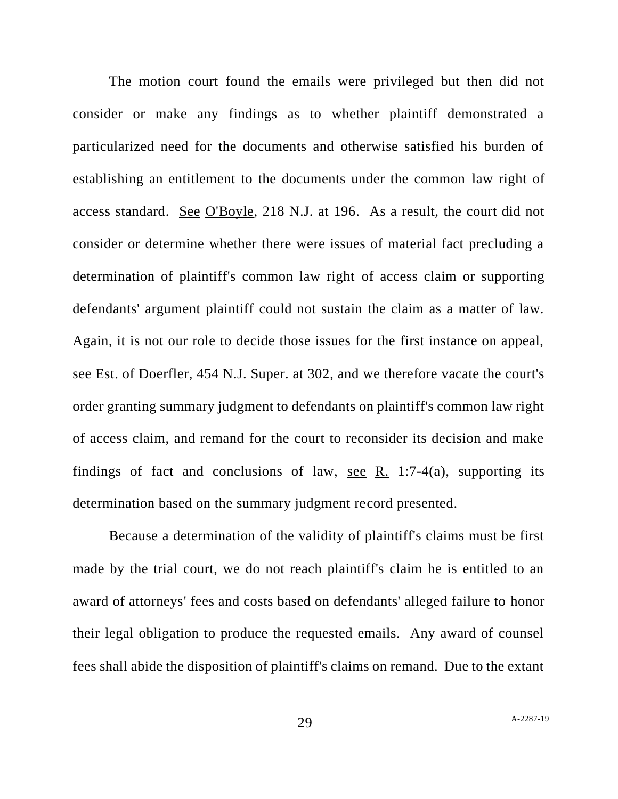The motion court found the emails were privileged but then did not consider or make any findings as to whether plaintiff demonstrated a particularized need for the documents and otherwise satisfied his burden of establishing an entitlement to the documents under the common law right of access standard. See O'Boyle, 218 N.J. at 196. As a result, the court did not consider or determine whether there were issues of material fact precluding a determination of plaintiff's common law right of access claim or supporting defendants' argument plaintiff could not sustain the claim as a matter of law. Again, it is not our role to decide those issues for the first instance on appeal, see Est. of Doerfler, 454 N.J. Super. at 302, and we therefore vacate the court's order granting summary judgment to defendants on plaintiff's common law right of access claim, and remand for the court to reconsider its decision and make findings of fact and conclusions of law, see R. 1:7-4(a), supporting its determination based on the summary judgment record presented.

Because a determination of the validity of plaintiff's claims must be first made by the trial court, we do not reach plaintiff's claim he is entitled to an award of attorneys' fees and costs based on defendants' alleged failure to honor their legal obligation to produce the requested emails. Any award of counsel fees shall abide the disposition of plaintiff's claims on remand. Due to the extant